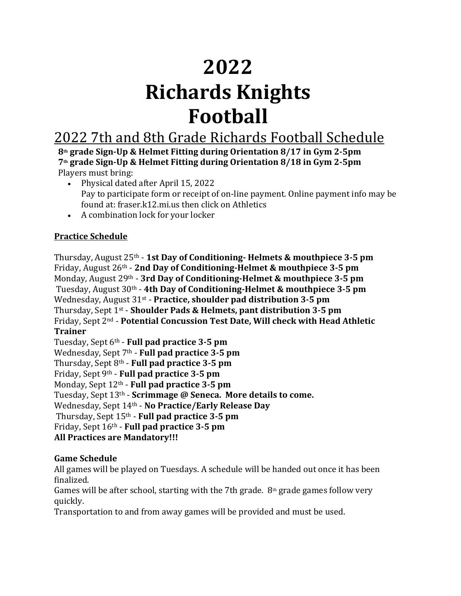# **2022 Richards Knights Football**

## 2022 7th and 8th Grade Richards Football Schedule

**8th grade Sign-Up & Helmet Fitting during Orientation 8/17 in Gym 2-5pm 7th grade Sign-Up & Helmet Fitting during Orientation 8/18 in Gym 2-5pm** Players must bring:

- Physical dated after April 15, 2022 Pay to participate form or receipt of on-line payment. Online payment info may be found at: fraser.k12.mi.us then click on Athletics
- A combination lock for your locker

### **Practice Schedule**

Thursday, August 25th - **1st Day of Conditioning- Helmets & mouthpiece 3-5 pm** Friday, August 26<sup>th</sup> - 2nd Day of Conditioning-Helmet & mouthpiece 3-5 pm Monday, August 29<sup>th</sup> - 3rd Day of Conditioning-Helmet & mouthpiece 3-5 pm Tuesday, August 30<sup>th</sup> - 4th Day of Conditioning-Helmet & mouthpiece 3-5 pm Wednesday, August 31<sup>st</sup> - Practice, shoulder pad distribution 3-5 pm Thursday, Sept 1<sup>st</sup> - **Shoulder Pads & Helmets, pant distribution 3-5 pm** Friday, Sept 2<sup>nd</sup> - **Potential Concussion Test Date, Will check with Head Athletic Trainer**

Tuesday, Sept 6<sup>th</sup> - **Full pad practice 3-5 pm** Wednesday, Sept 7<sup>th</sup> - **Full pad practice 3-5 pm** Thursday, Sept 8<sup>th</sup> - **Full pad practice 3-5 pm** Friday, Sept 9<sup>th</sup> - **Full pad practice 3-5 pm** Monday, Sept 12<sup>th</sup> - **Full pad practice 3-5 pm** Tuesday, Sept 13<sup>th</sup> - **Scrimmage @ Seneca. More details to come.** Wednesday, Sept 14th - **No Practice/Early Release Day** Thursday, Sept 15<sup>th</sup> - **Full pad practice 3-5 pm** Friday, Sept 16<sup>th</sup> - **Full pad practice 3-5 pm All Practices are Mandatory!!!** 

#### **Game Schedule**

All games will be played on Tuesdays. A schedule will be handed out once it has been finalized.

Games will be after school, starting with the 7th grade.  $8<sup>th</sup>$  grade games follow very quickly.

Transportation to and from away games will be provided and must be used.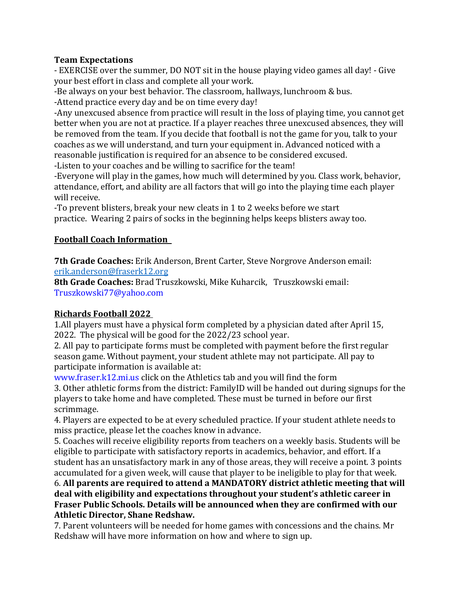#### **Team Expectations**

- EXERCISE over the summer, DO NOT sit in the house playing video games all day! - Give your best effort in class and complete all your work.

-Be always on your best behavior. The classroom, hallways, lunchroom & bus.

-Attend practice every day and be on time every day!

-Any unexcused absence from practice will result in the loss of playing time, you cannot get better when you are not at practice. If a player reaches three unexcused absences, they will be removed from the team. If you decide that football is not the game for you, talk to your coaches as we will understand, and turn your equipment in. Advanced noticed with a reasonable justification is required for an absence to be considered excused.

-Listen to your coaches and be willing to sacrifice for the team!

-Everyone will play in the games, how much will determined by you. Class work, behavior, attendance, effort, and ability are all factors that will go into the playing time each player will receive.

-To prevent blisters, break your new cleats in 1 to 2 weeks before we start practice. Wearing 2 pairs of socks in the beginning helps keeps blisters away too.

#### **Football Coach Information**

**7th Grade Coaches:** Erik Anderson, Brent Carter, Steve Norgrove Anderson email: erik.anderson@fraserk12.org

**8th Grade Coaches:** Brad Truszkowski, Mike Kuharcik, Truszkowski email: Truszkowski77@yahoo.com

#### **Richards Football 2022**

1. All players must have a physical form completed by a physician dated after April 15, 2022. The physical will be good for the 2022/23 school vear.

2. All pay to participate forms must be completed with payment before the first regular season game. Without payment, your student athlete may not participate. All pay to participate information is available at:

www.fraser.k12.mi.us click on the Athletics tab and you will find the form

3. Other athletic forms from the district: FamilyID will be handed out during signups for the players to take home and have completed. These must be turned in before our first scrimmage.

4. Players are expected to be at every scheduled practice. If your student athlete needs to miss practice, please let the coaches know in advance.

5. Coaches will receive eligibility reports from teachers on a weekly basis. Students will be eligible to participate with satisfactory reports in academics, behavior, and effort. If a student has an unsatisfactory mark in any of those areas, they will receive a point. 3 points accumulated for a given week, will cause that player to be ineligible to play for that week.

6. All parents are required to attend a MANDATORY district athletic meeting that will deal with eligibility and expectations throughout your student's athletic career in Fraser Public Schools. Details will be announced when they are confirmed with our **Athletic Director, Shane Redshaw.** 

7. Parent volunteers will be needed for home games with concessions and the chains. Mr Redshaw will have more information on how and where to sign up.